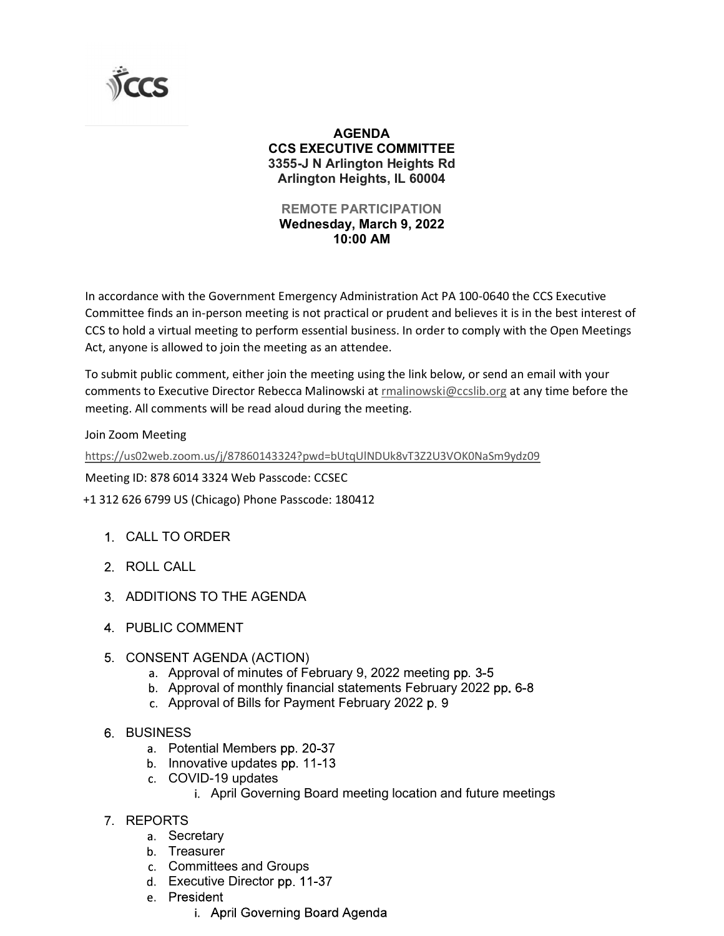

## AGENDA CCS EXECUTIVE COMMITTEE 3355-J N Arlington Heights Rd Arlington Heights, IL 60004 AGENDA<br>
CS EXECUTIVE COMMITTEE<br>
555-J N Arlington Heights Rd<br>
Arlington Heights, IL 60004<br>
REMOTE PARTICIPATION<br>
Wednesday, March 9, 2022<br>
10:00 AM<br>
Emergency Administration Act PA 100-0640 the CCS Executive

## REMOTE PARTICIPATION 10:00 AM

In accordance with the Government Emergency Administration Act PA 100-0640 the CCS Executive Committee finds an in-person meeting is not practical or prudent and believes it is in the best interest of CCS to hold a virtual meeting to perform essential business. In order to comply with the Open Meetings Act, anyone is allowed to join the meeting as an attendee. **AGENDA**<br> **CCS EXECUTIVE COMMITTEE**<br>
3355-J M Artington Heights Rd<br>
Affington Heights Read Arting And Arting Article AFTICIPATION<br> **REMOTE PARTICIPATION**<br> **MODE MARTICIPATION**<br>
10:00 **AM**<br>
In accordance with the Governmen 10:00 AM<br>
10:00 AM<br>
10:00 AM<br>
dance with the Government Emergency Administration Act PA 100-0640 the CCS Extee<br>
finds an in-person meeting is not practical or prudent and believes it is in the bes<br>
olold a virtual meeting dance with the Government Emergency Administration Act PA 100-0640 the CC<br>tee finds an in-person meeting is not practical or prudent and believes it is in the<br>nold a virtual meeting to perform essential business. In order dance with the Government Emergency Administration Act PA 100-0640 the CCS Executive<br>tee finds an in-person meeting is not practical or prudent and believes it is in the best interest of<br>onld a virtual meeting to perform e

To submit public comment, either join the meeting using the link below, or send an email with your comments to Executive Director Rebecca Malinowski at rmalinowski@ccslib.org at any time before the nola a virtual meeting to perform essential business. In order to comply with the Op<br>one is allowed to join the meeting as an attendee.<br>
ht public comment, either join the meeting using the link below, or send an email v<br> c comment, either join the meeting using the link below, or send an email with your<br>eccutive Director Rebecca Malinowski at <u>malinowski@ccslib.org</u> at any time before the<br>mements will be read aloud during the meeting.<br>Ling ecutive Director Rebecca Malinowski at <u>malinowski@ccslib.org</u> at any time before the<br>ments will be read aloud during the meeting.<br>https://202000.143324?pwd=bUtqUlNDUk8vT322U3VOK0NaSm9ydz09<br>16014 3324 Web Passcode: CCSEC<br>U Ecommus/V87860143324?pwd=bUtqUINDUk8vT322U3VOK0NaSm9ydz09<br>
Inments will be read aloud during the meeting.<br>
Accommus/V87860143324?pwd=bUtqUINDUk8vT322U3VOK0NaSm9ydz09<br>
F6014 3324 Web Passcode: 180412<br>
TO ORDER<br>
DUS (Chicago

Join Zoom Meeting

https://us02web.zoom.us/j/87860143324?pwd=bUtqUlNDUk8vT3Z2U3VOK0NaSm9ydz09

Meeting ID: 878 6014 3324 Web Passcode: CCSEC

+1 312 626 6799 US (Chicago) Phone Passcode: 180412

- 
- 
- 
- 
- CONSENT AGENDA (ACTION)
	-
	-
	-
- **6 BUSINESS** 
	-
	- -
- emanus/j/87860143324?pwd=bUtqUINDUk8vT3Z2U3VOK0NaSm9ydz09<br>16014 3324 Web Passcode: CCSEC<br>16014 3324 Web Passcode: CCSEC<br>10 US (Chicago) Phone Passcode: 180412<br>20 ORDER<br>20 ORDER<br>20 ORDER<br>20 COMMENT<br>Approval of minutes of Fe A and the method of the method of the method of the method of the method of the method of the passcode: 180412<br>
In the same passcode: 180412<br>
In the same passcode: 180412<br>
CORDER<br>
COMMENT<br>
INT AGENDA (ACTION)<br>
Approval of i 6014 3324 Web Passcode: CCSEC<br>
US (Chicago) Phone Passcode: 180412<br>
CO ORDER<br>
CO ORDER<br>
COMMENT<br>
COMMENT<br>
NT AGENDA (ACTION)<br>
Approval of minuthy financial statements February 2022 pp. 6-8<br>
Approval of monthly financial cago) Phone Passcode: 180412<br>
ER<br>
ER<br>
MENT<br>
ENDA (ACTION)<br>
al of minutes of February 9, 2022 meeting pp. 3-5<br>
al of monthly financial statements February 2022 p. 6-8<br>
al Members pp. 20-37<br>
ive updates<br>
April Governing Boar CALL<br>
COMMENT<br>
COMMENT<br>
COMMENT<br>
Approval of minutes of February 9, 2022 meeting pp. 3-5<br>
Approval of monthly financial statements February 2022 pp. 6-8<br>
Approval of Bills for Payment February 2022 p. 9<br>
ESS<br>
ESS<br>
Potentia ONS TO THE AGENDA<br>
COMMENT<br>
ENT AGENDA (ACTION)<br>
Approval of minutes of February 9, 2022 meeting pp. 3-5<br>
Approval of monthly financial statements February 2022 pp. 6-8<br>
Approval of Bills for Payment February 2022 p. 9<br>
ES
- REPORTS
	- a. Secretary
	- b. Treasurer
	-
	-
	- -